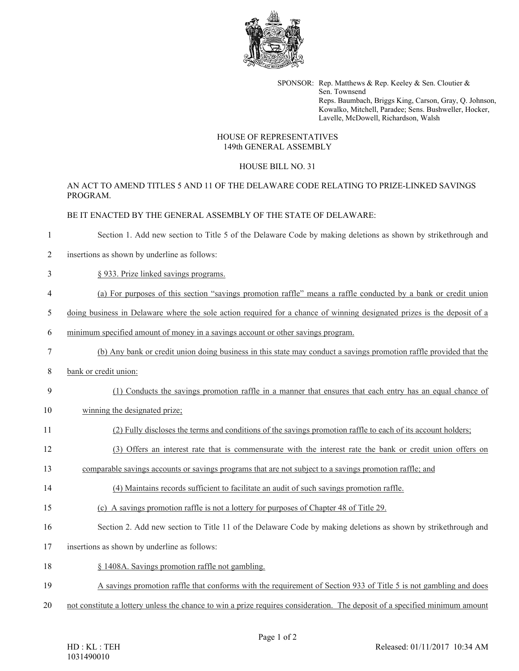

SPONSOR: Rep. Matthews & Rep. Keeley & Sen. Cloutier & Sen. Townsend Reps. Baumbach, Briggs King, Carson, Gray, Q. Johnson, Kowalko, Mitchell, Paradee; Sens. Bushweller, Hocker, Lavelle, McDowell, Richardson, Walsh

# HOUSE OF REPRESENTATIVES 149th GENERAL ASSEMBLY

# HOUSE BILL NO. 31

# AN ACT TO AMEND TITLES 5 AND 11 OF THE DELAWARE CODE RELATING TO PRIZE-LINKED SAVINGS PROGRAM.

# BE IT ENACTED BY THE GENERAL ASSEMBLY OF THE STATE OF DELAWARE:

- 1 Section 1. Add new section to Title 5 of the Delaware Code by making deletions as shown by strikethrough and
- 2 insertions as shown by underline as follows:
- 3 § 933. Prize linked savings programs.
- 4 (a) For purposes of this section "savings promotion raffle" means a raffle conducted by a bank or credit union
- 5 doing business in Delaware where the sole action required for a chance of winning designated prizes is the deposit of a
- 6 minimum specified amount of money in a savings account or other savings program.
- 7 (b) Any bank or credit union doing business in this state may conduct a savings promotion raffle provided that the
- 8 bank or credit union:
- 9 (1) Conducts the savings promotion raffle in a manner that ensures that each entry has an equal chance of
- 10 winning the designated prize;
- 11 (2) Fully discloses the terms and conditions of the savings promotion raffle to each of its account holders;
- 12 (3) Offers an interest rate that is commensurate with the interest rate the bank or credit union offers on
- 13 comparable savings accounts or savings programs that are not subject to a savings promotion raffle; and
- 14 (4) Maintains records sufficient to facilitate an audit of such savings promotion raffle.
- 15 (c) A savings promotion raffle is not a lottery for purposes of Chapter 48 of Title 29.
- 16 Section 2. Add new section to Title 11 of the Delaware Code by making deletions as shown by strikethrough and
- 17 insertions as shown by underline as follows:
- 18 § 1408A. Savings promotion raffle not gambling.
- 19 A savings promotion raffle that conforms with the requirement of Section 933 of Title 5 is not gambling and does
- 20 not constitute a lottery unless the chance to win a prize requires consideration. The deposit of a specified minimum amount